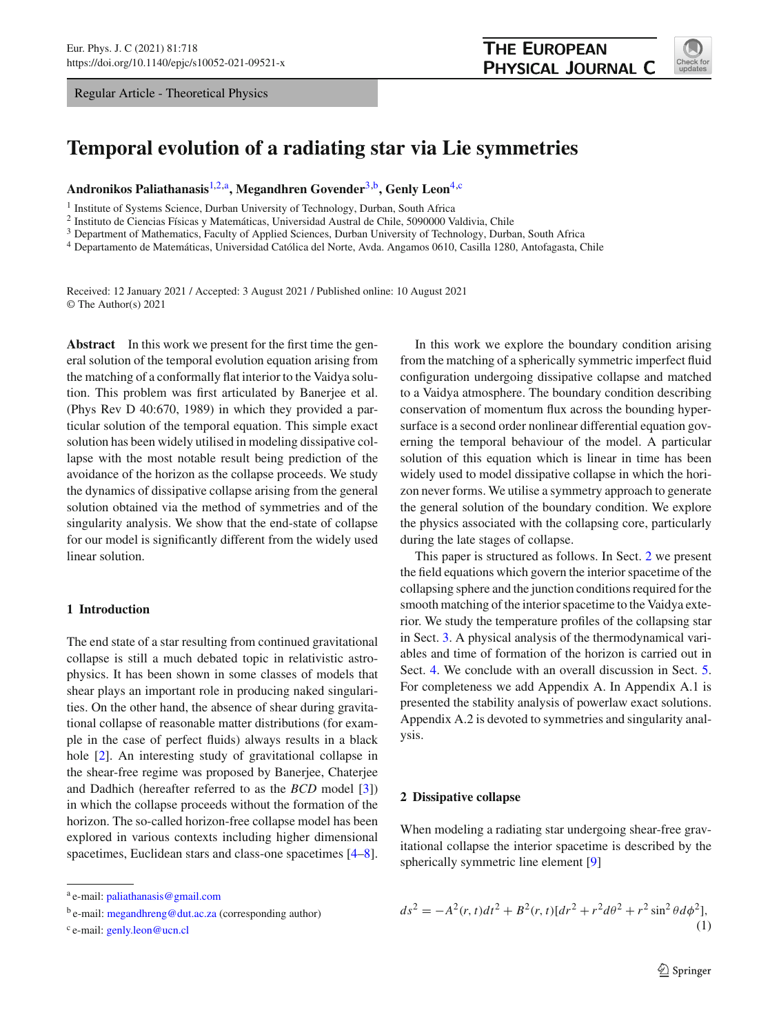Regular Article - Theoretical Physics

<span id="page-0-2"></span>

# **Temporal evolution of a radiating star via Lie symmetries**

**Andronikos Paliathanasis**[1,2,](#page-0-0)a**, Megandhren Govender**[3,](#page-0-1)b**, Genly Leon**[4,](#page-0-2)c

<sup>1</sup> Institute of Systems Science, Durban University of Technology, Durban, South Africa

<sup>2</sup> Instituto de Ciencias Físicas y Matemáticas, Universidad Austral de Chile, 5090000 Valdivia, Chile

<sup>3</sup> Department of Mathematics, Faculty of Applied Sciences, Durban University of Technology, Durban, South Africa

<sup>4</sup> Departamento de Matemáticas, Universidad Católica del Norte, Avda. Angamos 0610, Casilla 1280, Antofagasta, Chile

Received: 12 January 2021 / Accepted: 3 August 2021 / Published online: 10 August 2021 © The Author(s) 2021

**Abstract** In this work we present for the first time the general solution of the temporal evolution equation arising from the matching of a conformally flat interior to the Vaidya solution. This problem was first articulated by Banerjee et al. (Phys Rev D 40:670, 1989) in which they provided a particular solution of the temporal equation. This simple exact solution has been widely utilised in modeling dissipative collapse with the most notable result being prediction of the avoidance of the horizon as the collapse proceeds. We study the dynamics of dissipative collapse arising from the general solution obtained via the method of symmetries and of the singularity analysis. We show that the end-state of collapse for our model is significantly different from the widely used linear solution.

#### **1 Introduction**

The end state of a star resulting from continued gravitational collapse is still a much debated topic in relativistic astrophysics. It has been shown in some classes of models that shear plays an important role in producing naked singularities. On the other hand, the absence of shear during gravitational collapse of reasonable matter distributions (for example in the case of perfect fluids) always results in a black hole [\[2\]](#page-6-0). An interesting study of gravitational collapse in the shear-free regime was proposed by Banerjee, Chaterjee and Dadhich (hereafter referred to as the *BCD* model [\[3\]](#page-6-1)) in which the collapse proceeds without the formation of the horizon. The so-called horizon-free collapse model has been explored in various contexts including higher dimensional spacetimes, Euclidean stars and class-one spacetimes [\[4](#page-6-2)[–8](#page-6-3)].

<span id="page-0-1"></span><span id="page-0-0"></span>In this work we explore the boundary condition arising from the matching of a spherically symmetric imperfect fluid configuration undergoing dissipative collapse and matched to a Vaidya atmosphere. The boundary condition describing conservation of momentum flux across the bounding hypersurface is a second order nonlinear differential equation governing the temporal behaviour of the model. A particular solution of this equation which is linear in time has been widely used to model dissipative collapse in which the horizon never forms. We utilise a symmetry approach to generate the general solution of the boundary condition. We explore the physics associated with the collapsing core, particularly during the late stages of collapse.

This paper is structured as follows. In Sect. [2](#page-0-3) we present the field equations which govern the interior spacetime of the collapsing sphere and the junction conditions required for the smooth matching of the interior spacetime to the Vaidya exterior. We study the temperature profiles of the collapsing star in Sect. [3.](#page-2-0) A physical analysis of the thermodynamical variables and time of formation of the horizon is carried out in Sect. [4.](#page-3-0) We conclude with an overall discussion in Sect. [5.](#page-4-0) For completeness we add Appendix A. In Appendix A.1 is presented the stability analysis of powerlaw exact solutions. Appendix A.2 is devoted to symmetries and singularity analysis.

### <span id="page-0-3"></span>**2 Dissipative collapse**

When modeling a radiating star undergoing shear-free gravitational collapse the interior spacetime is described by the spherically symmetric line element [\[9\]](#page-6-4)

<span id="page-0-4"></span>
$$
ds^{2} = -A^{2}(r, t)dt^{2} + B^{2}(r, t)[dr^{2} + r^{2}d\theta^{2} + r^{2}\sin^{2}\theta d\phi^{2}],
$$
\n(1)

<sup>a</sup> e-mail: [paliathanasis@gmail.com](mailto:paliathanasis@gmail.com)

b e-mail: [megandhreng@dut.ac.za](mailto:megandhreng@dut.ac.za) (corresponding author)

<sup>c</sup> e-mail: [genly.leon@ucn.cl](mailto:genly.leon@ucn.cl)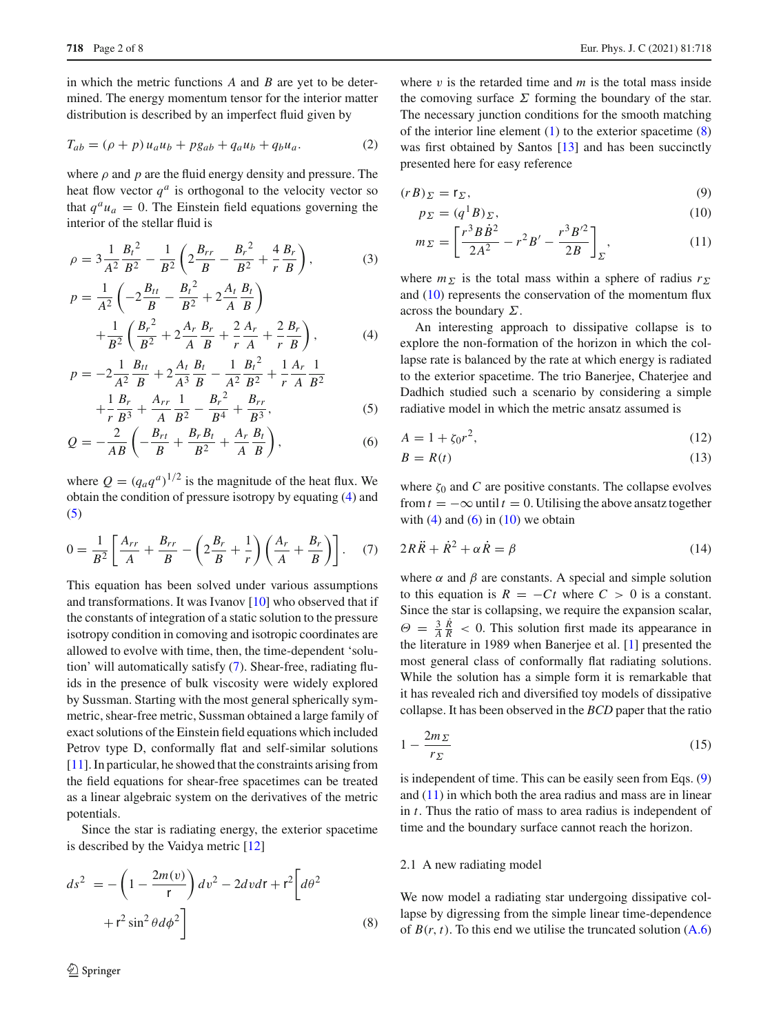in which the metric functions *A* and *B* are yet to be determined. The energy momentum tensor for the interior matter distribution is described by an imperfect fluid given by

$$
T_{ab} = (\rho + p) u_a u_b + p g_{ab} + q_a u_b + q_b u_a.
$$
 (2)

where  $\rho$  and  $p$  are the fluid energy density and pressure. The heat flow vector  $q^a$  is orthogonal to the velocity vector so that  $q^a u_a = 0$ . The Einstein field equations governing the interior of the stellar fluid is

<span id="page-1-0"></span>
$$
\rho = 3\frac{1}{A^2}\frac{B_t^2}{B^2} - \frac{1}{B^2} \left( 2\frac{B_{rr}}{B} - \frac{B_r^2}{B^2} + \frac{4}{r}\frac{B_r}{B} \right),\tag{3}
$$

$$
p = \frac{1}{A^2} \left( -2\frac{B_{tt}}{B} - \frac{B_t^2}{B^2} + 2\frac{A_t}{A} \frac{B_t}{B} \right) + \frac{1}{B^2} \left( \frac{B_r^2}{B^2} + 2\frac{A_r}{A} \frac{B_r}{B} + \frac{2}{r} \frac{A_r}{A} + \frac{2}{r} \frac{B_r}{B} \right),
$$
 (4)

$$
p = -2\frac{1}{A^2}\frac{B_{tt}}{B} + 2\frac{A_t}{A^3}\frac{B_t}{B} - \frac{1}{A^2}\frac{B_t^2}{B^2} + \frac{1}{r}\frac{A_r}{A}\frac{1}{B^2} + \frac{1}{r}\frac{B_r}{B^3} + \frac{A_{rr}}{A}\frac{1}{B^2} - \frac{B_r^2}{B^4} + \frac{B_{rr}}{B^3},
$$
 (5)

$$
\begin{array}{cccc}\n & r \ B^3 & A & B^2 & B^4 & B^3 \\
- & 2 & \begin{pmatrix} B_{rt} & B_r B_t & A_r B_t \end{pmatrix}\n\end{array}
$$
\n
$$
\tag{6}
$$

$$
Q = -\frac{2}{AB} \left( -\frac{B_{rt}}{B} + \frac{B_r B_t}{B^2} + \frac{A_r}{A} \frac{B_t}{B} \right),
$$
 (6)

where  $Q = (q_a q^a)^{1/2}$  is the magnitude of the heat flux. We obtain the condition of pressure isotropy by equating [\(4\)](#page-1-0) and [\(5\)](#page-1-0)

<span id="page-1-1"></span>
$$
0 = \frac{1}{B^2} \left[ \frac{A_{rr}}{A} + \frac{B_{rr}}{B} - \left( 2\frac{B_r}{B} + \frac{1}{r} \right) \left( \frac{A_r}{A} + \frac{B_r}{B} \right) \right]. \tag{7}
$$

This equation has been solved under various assumptions and transformations. It was Ivanov [\[10](#page-6-5)] who observed that if the constants of integration of a static solution to the pressure isotropy condition in comoving and isotropic coordinates are allowed to evolve with time, then, the time-dependent 'solution' will automatically satisfy [\(7\)](#page-1-1). Shear-free, radiating fluids in the presence of bulk viscosity were widely explored by Sussman. Starting with the most general spherically symmetric, shear-free metric, Sussman obtained a large family of exact solutions of the Einstein field equations which included Petrov type D, conformally flat and self-similar solutions [\[11](#page-6-6)]. In particular, he showed that the constraints arising from the field equations for shear-free spacetimes can be treated as a linear algebraic system on the derivatives of the metric potentials.

Since the star is radiating energy, the exterior spacetime is described by the Vaidya metric [\[12](#page-6-7)]

<span id="page-1-2"></span>
$$
ds^{2} = -\left(1 - \frac{2m(v)}{r}\right)dv^{2} - 2dvdr + r^{2}\left[d\theta^{2} + r^{2}\sin^{2}\theta d\phi^{2}\right]
$$
\n(8)

where  $v$  is the retarded time and  $m$  is the total mass inside the comoving surface  $\Sigma$  forming the boundary of the star. The necessary junction conditions for the smooth matching of the interior line element  $(1)$  to the exterior spacetime  $(8)$ was first obtained by Santos [\[13](#page-6-8)] and has been succinctly presented here for easy reference

<span id="page-1-3"></span>
$$
(rB)_{\Sigma} = r_{\Sigma},\tag{9}
$$

$$
p_{\Sigma} = (q^1 B)_{\Sigma},\tag{10}
$$

$$
m_{\Sigma} = \left[\frac{r^3 B \dot{B}^2}{2A^2} - r^2 B' - \frac{r^3 B'^2}{2B}\right]_{\Sigma},\tag{11}
$$

where  $m_{\Sigma}$  is the total mass within a sphere of radius  $r_{\Sigma}$ and [\(10\)](#page-1-3) represents the conservation of the momentum flux across the boundary  $\Sigma$ .

An interesting approach to dissipative collapse is to explore the non-formation of the horizon in which the collapse rate is balanced by the rate at which energy is radiated to the exterior spacetime. The trio Banerjee, Chaterjee and Dadhich studied such a scenario by considering a simple radiative model in which the metric ansatz assumed is

<span id="page-1-4"></span>
$$
A = 1 + \zeta_0 r^2,\tag{12}
$$

$$
B = R(t) \tag{13}
$$

where  $\zeta_0$  and *C* are positive constants. The collapse evolves from  $t = -\infty$  until  $t = 0$ . Utilising the above ansatz together with  $(4)$  and  $(6)$  in  $(10)$  we obtain

<span id="page-1-5"></span>
$$
2R\ddot{R} + \dot{R}^2 + \alpha \dot{R} = \beta \tag{14}
$$

where  $\alpha$  and  $\beta$  are constants. A special and simple solution to this equation is  $R = -Ct$  where  $C > 0$  is a constant. Since the star is collapsing, we require the expansion scalar,  $\Theta = \frac{3}{A} \frac{R}{R}$  < 0. This solution first made its appearance in the literature in 1989 when Banerjee et al. [\[1](#page-6-9)] presented the most general class of conformally flat radiating solutions. While the solution has a simple form it is remarkable that it has revealed rich and diversified toy models of dissipative collapse. It has been observed in the *BCD* paper that the ratio

$$
1 - \frac{2m_{\Sigma}}{r_{\Sigma}}\tag{15}
$$

is independent of time. This can be easily seen from Eqs. [\(9\)](#page-1-3) and [\(11\)](#page-1-3) in which both the area radius and mass are in linear in *t*. Thus the ratio of mass to area radius is independent of time and the boundary surface cannot reach the horizon.

#### 2.1 A new radiating model

We now model a radiating star undergoing dissipative collapse by digressing from the simple linear time-dependence of  $B(r, t)$ . To this end we utilise the truncated solution  $(A.6)$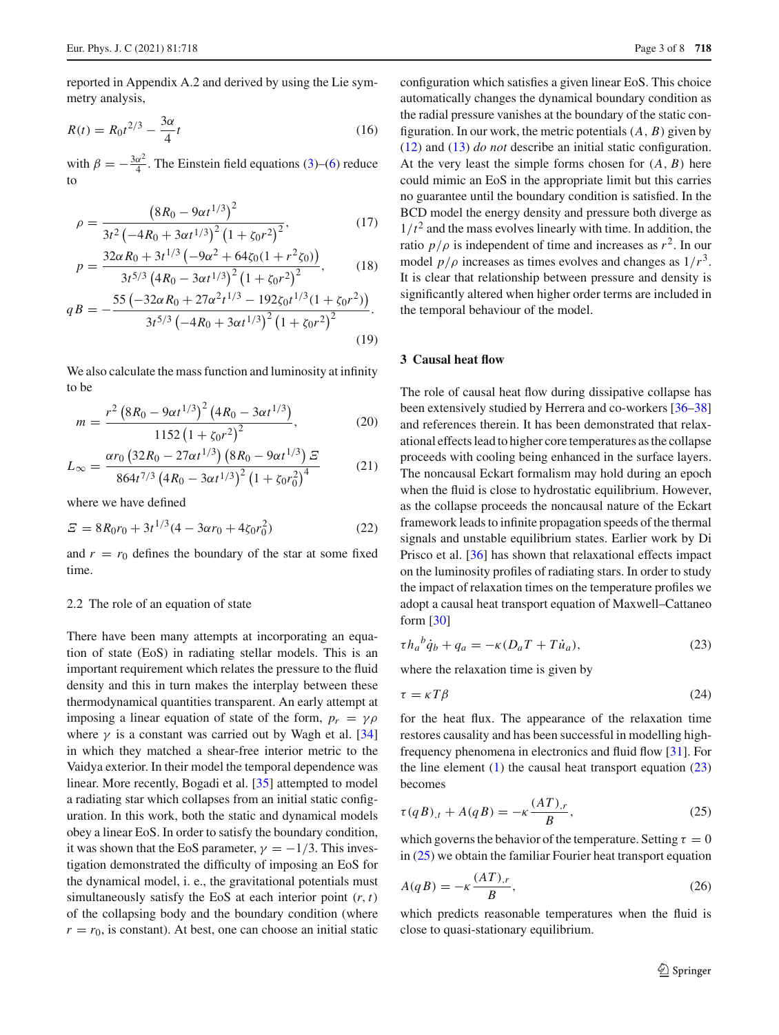reported in Appendix A.2 and derived by using the Lie symmetry analysis,

$$
R(t) = R_0 t^{2/3} - \frac{3\alpha}{4} t \tag{16}
$$

with  $\beta = -\frac{3\alpha^2}{4}$ . The Einstein field equations [\(3\)](#page-1-0)–[\(6\)](#page-1-0) reduce to

$$
\rho = \frac{\left(8R_0 - 9\alpha t^{1/3}\right)^2}{3t^2 \left(-4R_0 + 3\alpha t^{1/3}\right)^2 \left(1 + \zeta_0 r^2\right)^2},\tag{17}
$$

$$
p = \frac{32\alpha R_0 + 3t^{1/3} \left(-9\alpha^2 + 64\zeta_0(1 + r^2\zeta_0)\right)}{3t^{5/3} \left(4R_0 - 3\alpha t^{1/3}\right)^2 \left(1 + \zeta_0 r^2\right)^2},\tag{18}
$$

$$
qB = -\frac{55 \left(-32 \alpha R_0 + 27 \alpha^2 t^{1/3} - 192 \zeta_0 t^{1/3} (1 + \zeta_0 r^2)\right)}{3 t^{5/3} \left(-4 R_0 + 3 \alpha t^{1/3}\right)^2 \left(1 + \zeta_0 r^2\right)^2}.
$$
\n(19)

We also calculate the mass function and luminosity at infinity to be

<span id="page-2-3"></span>
$$
m = \frac{r^2 \left(8R_0 - 9\alpha t^{1/3}\right)^2 \left(4R_0 - 3\alpha t^{1/3}\right)}{1152 \left(1 + \zeta_0 r^2\right)^2},\tag{20}
$$

$$
L_{\infty} = \frac{\alpha r_0 \left(32R_0 - 27\alpha t^{1/3}\right) \left(8R_0 - 9\alpha t^{1/3}\right) \mathcal{Z}}{864t^{7/3} \left(4R_0 - 3\alpha t^{1/3}\right)^2 \left(1 + \zeta_0 r_0^2\right)^4}
$$
(21)

where we have defined

$$
E = 8R_0r_0 + 3t^{1/3}(4 - 3\alpha r_0 + 4\zeta_0 r_0^2)
$$
 (22)

and  $r = r_0$  defines the boundary of the star at some fixed time.

#### 2.2 The role of an equation of state

There have been many attempts at incorporating an equation of state (EoS) in radiating stellar models. This is an important requirement which relates the pressure to the fluid density and this in turn makes the interplay between these thermodynamical quantities transparent. An early attempt at imposing a linear equation of state of the form,  $p_r = \gamma \rho$ where  $\gamma$  is a constant was carried out by Wagh et al. [\[34\]](#page-7-0) in which they matched a shear-free interior metric to the Vaidya exterior. In their model the temporal dependence was linear. More recently, Bogadi et al. [\[35\]](#page-7-1) attempted to model a radiating star which collapses from an initial static configuration. In this work, both the static and dynamical models obey a linear EoS. In order to satisfy the boundary condition, it was shown that the EoS parameter,  $\gamma = -1/3$ . This investigation demonstrated the difficulty of imposing an EoS for the dynamical model, i. e., the gravitational potentials must simultaneously satisfy the EoS at each interior point  $(r, t)$ of the collapsing body and the boundary condition (where  $r = r_0$ , is constant). At best, one can choose an initial static configuration which satisfies a given linear EoS. This choice automatically changes the dynamical boundary condition as the radial pressure vanishes at the boundary of the static configuration. In our work, the metric potentials(*A*, *B*) given by [\(12\)](#page-1-4) and [\(13\)](#page-1-4) *do not* describe an initial static configuration. At the very least the simple forms chosen for (*A*, *B*) here could mimic an EoS in the appropriate limit but this carries no guarantee until the boundary condition is satisfied. In the BCD model the energy density and pressure both diverge as  $1/t<sup>2</sup>$  and the mass evolves linearly with time. In addition, the ratio  $p/\rho$  is independent of time and increases as  $r^2$ . In our model  $p/\rho$  increases as times evolves and changes as  $1/r^3$ . It is clear that relationship between pressure and density is significantly altered when higher order terms are included in the temporal behaviour of the model.

## <span id="page-2-0"></span>**3 Causal heat flow**

The role of causal heat flow during dissipative collapse has been extensively studied by Herrera and co-workers [\[36](#page-7-2)[–38\]](#page-7-3) and references therein. It has been demonstrated that relaxational effects lead to higher core temperatures as the collapse proceeds with cooling being enhanced in the surface layers. The noncausal Eckart formalism may hold during an epoch when the fluid is close to hydrostatic equilibrium. However, as the collapse proceeds the noncausal nature of the Eckart framework leads to infinite propagation speeds of the thermal signals and unstable equilibrium states. Earlier work by Di Prisco et al. [\[36\]](#page-7-2) has shown that relaxational effects impact on the luminosity profiles of radiating stars. In order to study the impact of relaxation times on the temperature profiles we adopt a causal heat transport equation of Maxwell–Cattaneo form [\[30](#page-7-4)]

<span id="page-2-1"></span>
$$
\tau h_a{}^b \dot{q}_b + q_a = -\kappa (D_a T + T \dot{u}_a),\tag{23}
$$

where the relaxation time is given by

$$
\tau = \kappa T \beta \tag{24}
$$

for the heat flux. The appearance of the relaxation time restores causality and has been successful in modelling highfrequency phenomena in electronics and fluid flow [\[31](#page-7-5)]. For the line element  $(1)$  the causal heat transport equation  $(23)$ becomes

<span id="page-2-2"></span>
$$
\tau(qB)_{,t} + A(qB) = -\kappa \frac{(AT)_{,r}}{B},\tag{25}
$$

which governs the behavior of the temperature. Setting  $\tau = 0$ in  $(25)$  we obtain the familiar Fourier heat transport equation

$$
A(qB) = -\kappa \frac{(AT)_{,r}}{B},\tag{26}
$$

which predicts reasonable temperatures when the fluid is close to quasi-stationary equilibrium.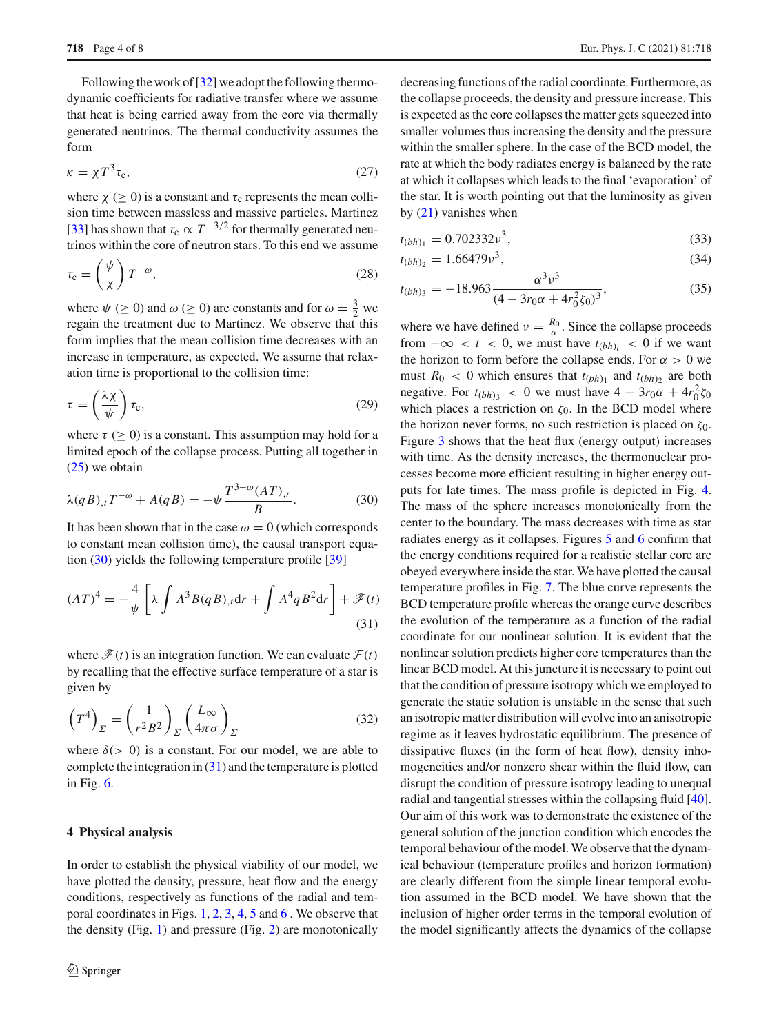Following the work of [\[32\]](#page-7-6) we adopt the following thermodynamic coefficients for radiative transfer where we assume that heat is being carried away from the core via thermally generated neutrinos. The thermal conductivity assumes the form

$$
\kappa = \chi T^3 \tau_c,\tag{27}
$$

where  $\chi$  ( $\geq$  0) is a constant and  $\tau_c$  represents the mean collision time between massless and massive particles. Martinez [\[33](#page-7-7)] has shown that  $\tau_c \propto T^{-3/2}$  for thermally generated neutrinos within the core of neutron stars. To this end we assume

$$
\tau_{\rm c} = \left(\frac{\psi}{\chi}\right) T^{-\omega},\tag{28}
$$

where  $\psi$  ( $\geq$  0) and  $\omega$  ( $\geq$  0) are constants and for  $\omega = \frac{3}{2}$  we regain the treatment due to Martinez. We observe that this form implies that the mean collision time decreases with an increase in temperature, as expected. We assume that relaxation time is proportional to the collision time:

$$
\tau = \left(\frac{\lambda \chi}{\psi}\right) \tau_{\rm c},\tag{29}
$$

where  $\tau \geq 0$ ) is a constant. This assumption may hold for a limited epoch of the collapse process. Putting all together in [\(25\)](#page-2-2) we obtain

<span id="page-3-1"></span>
$$
\lambda(qB)_{,t}T^{-\omega} + A(qB) = -\psi \frac{T^{3-\omega}(AT)_{,r}}{B}.
$$
 (30)

It has been shown that in the case  $\omega = 0$  (which corresponds to constant mean collision time), the causal transport equation [\(30\)](#page-3-1) yields the following temperature profile [\[39\]](#page-7-8)

$$
(AT)^4 = -\frac{4}{\psi} \left[ \lambda \int A^3 B(qB)_{,t} \mathrm{d}r + \int A^4 q B^2 \mathrm{d}r \right] + \mathcal{F}(t)
$$
\n(31)

where  $\mathcal{F}(t)$  is an integration function. We can evaluate  $\mathcal{F}(t)$ by recalling that the effective surface temperature of a star is given by

$$
\left(T^4\right)_{\Sigma} = \left(\frac{1}{r^2 B^2}\right)_{\Sigma} \left(\frac{L_{\infty}}{4\pi\sigma}\right)_{\Sigma} \tag{32}
$$

where  $\delta$  (> 0) is a constant. For our model, we are able to complete the integration in  $(31)$  and the temperature is plotted in Fig. [6.](#page-4-1)

#### <span id="page-3-0"></span>**4 Physical analysis**

In order to establish the physical viability of our model, we have plotted the density, pressure, heat flow and the energy conditions, respectively as functions of the radial and temporal coordinates in Figs. [1,](#page-4-2) [2,](#page-4-3) [3,](#page-4-4) [4,](#page-4-5) [5](#page-4-6) and [6](#page-4-1) . We observe that the density (Fig. [1\)](#page-4-2) and pressure (Fig. [2\)](#page-4-3) are monotonically decreasing functions of the radial coordinate. Furthermore, as the collapse proceeds, the density and pressure increase. This is expected as the core collapses the matter gets squeezed into smaller volumes thus increasing the density and the pressure within the smaller sphere. In the case of the BCD model, the rate at which the body radiates energy is balanced by the rate at which it collapses which leads to the final 'evaporation' of the star. It is worth pointing out that the luminosity as given by [\(21\)](#page-2-3) vanishes when

$$
t_{(bh)_1} = 0.702332 \nu^3,
$$
\n(33)

$$
t_{(bh)_2} = 1.66479 \nu^3,
$$
\n(34)

$$
t_{(bh)_3} = -18.963 \frac{\alpha^2 \nu^3}{(4 - 3r_0\alpha + 4r_0^2 \zeta_0)^3},\tag{35}
$$

<span id="page-3-2"></span>where we have defined  $v = \frac{R_0}{\alpha}$ . Since the collapse proceeds from  $-\infty < t < 0$ , we must have  $t_{(bh)_i} < 0$  if we want the horizon to form before the collapse ends. For  $\alpha > 0$  we must  $R_0 < 0$  which ensures that  $t_{(bh)_1}$  and  $t_{(bh)_2}$  are both negative. For  $t_{(bh)_3} < 0$  we must have  $4 - 3r_0\alpha + 4r_0^2\zeta_0$ which places a restriction on  $\zeta_0$ . In the BCD model where the horizon never forms, no such restriction is placed on  $\zeta_0$ . Figure [3](#page-4-4) shows that the heat flux (energy output) increases with time. As the density increases, the thermonuclear processes become more efficient resulting in higher energy outputs for late times. The mass profile is depicted in Fig. [4.](#page-4-5) The mass of the sphere increases monotonically from the center to the boundary. The mass decreases with time as star radiates energy as it collapses. Figures [5](#page-4-6) and [6](#page-4-1) confirm that the energy conditions required for a realistic stellar core are obeyed everywhere inside the star. We have plotted the causal temperature profiles in Fig. [7.](#page-4-7) The blue curve represents the BCD temperature profile whereas the orange curve describes the evolution of the temperature as a function of the radial coordinate for our nonlinear solution. It is evident that the nonlinear solution predicts higher core temperatures than the linear BCD model. At this juncture it is necessary to point out that the condition of pressure isotropy which we employed to generate the static solution is unstable in the sense that such an isotropic matter distribution will evolve into an anisotropic regime as it leaves hydrostatic equilibrium. The presence of dissipative fluxes (in the form of heat flow), density inhomogeneities and/or nonzero shear within the fluid flow, can disrupt the condition of pressure isotropy leading to unequal radial and tangential stresses within the collapsing fluid [\[40](#page-7-9)]. Our aim of this work was to demonstrate the existence of the general solution of the junction condition which encodes the temporal behaviour of the model. We observe that the dynamical behaviour (temperature profiles and horizon formation) are clearly different from the simple linear temporal evolution assumed in the BCD model. We have shown that the inclusion of higher order terms in the temporal evolution of the model significantly affects the dynamics of the collapse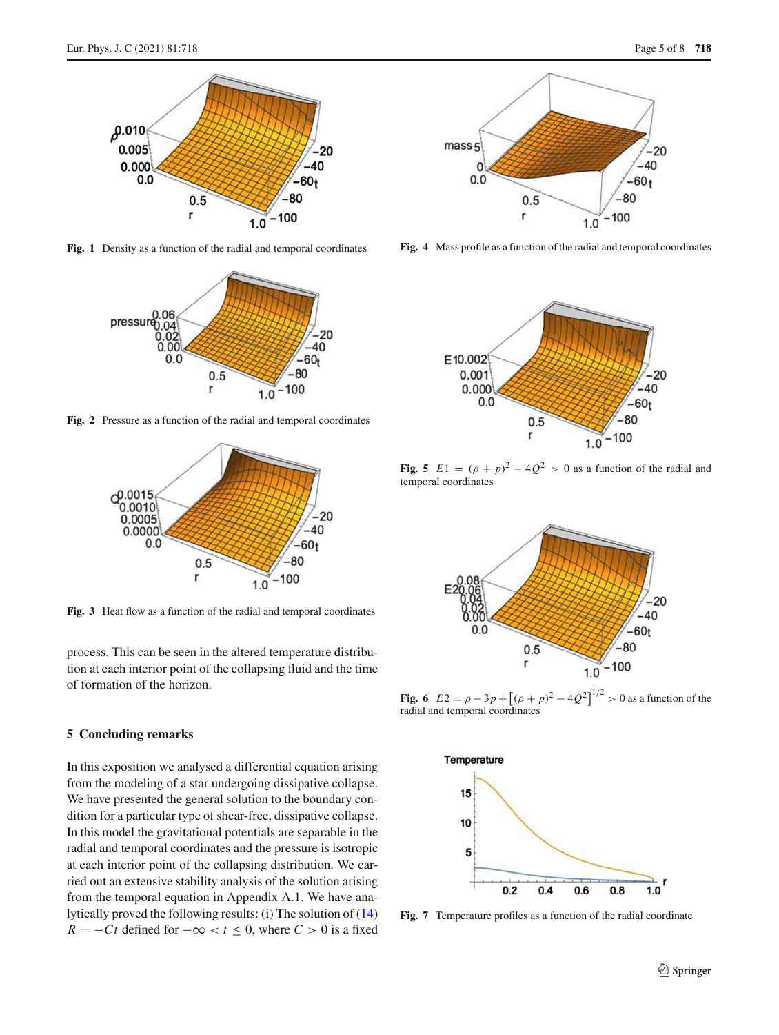

**Fig. 1** Density as a function of the radial and temporal coordinates

<span id="page-4-2"></span>

**Fig. 2** Pressure as a function of the radial and temporal coordinates

<span id="page-4-3"></span>

<span id="page-4-4"></span>**Fig. 3** Heat flow as a function of the radial and temporal coordinates

process. This can be seen in the altered temperature distribution at each interior point of the collapsing fluid and the time of formation of the horizon.

## <span id="page-4-0"></span>**5 Concluding remarks**

In this exposition we analysed a differential equation arising from the modeling of a star undergoing dissipative collapse. We have presented the general solution to the boundary condition for a particular type of shear-free, dissipative collapse. In this model the gravitational potentials are separable in the radial and temporal coordinates and the pressure is isotropic at each interior point of the collapsing distribution. We carried out an extensive stability analysis of the solution arising from the temporal equation in Appendix A.1. We have analytically proved the following results: (i) The solution of [\(14\)](#page-1-5) *R* =  $-Ct$  defined for  $-\infty < t \leq 0$ , where  $C > 0$  is a fixed



<span id="page-4-5"></span>**Fig. 4** Mass profile as a function of the radial and temporal coordinates



<span id="page-4-6"></span>**Fig. 5**  $E1 = (\rho + p)^2 - 4Q^2 > 0$  as a function of the radial and temporal coordinates



<span id="page-4-1"></span>**Fig. 6**  $E2 = \rho - 3p + [(\rho + p)^2 - 4Q^2]^{1/2} > 0$  as a function of the radial and temporal coordinates



<span id="page-4-7"></span>**Fig. 7** Temperature profiles as a function of the radial coordinate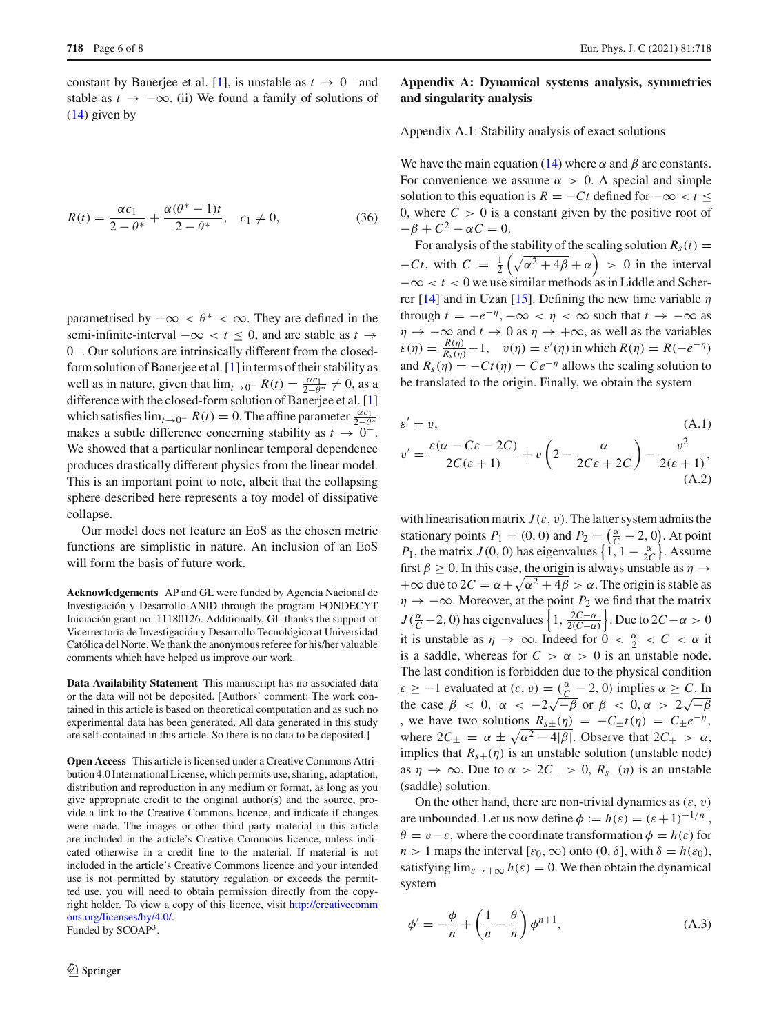constant by Banerjee et al. [\[1\]](#page-6-9), is unstable as  $t \to 0^-$  and stable as  $t \to -\infty$ . (ii) We found a family of solutions of [\(14\)](#page-1-5) given by

<span id="page-5-1"></span>
$$
R(t) = \frac{\alpha c_1}{2 - \theta^*} + \frac{\alpha(\theta^* - 1)t}{2 - \theta^*}, \quad c_1 \neq 0,
$$
 (36)

parametrised by  $-\infty < \theta^* < \infty$ . They are defined in the semi-infinite-interval  $-\infty < t < 0$ , and are stable as *t* → 0−. Our solutions are intrinsically different from the closedform solution of Banerjee et al. [\[1](#page-6-9)] in terms of their stability as well as in nature, given that  $\lim_{t\to 0^-} R(t) = \frac{\alpha c_1}{2-\theta^*} \neq 0$ , as a difference with the closed-form solution of Banerjee et al. [\[1\]](#page-6-9) which satisfies  $\lim_{t\to 0^-} R(t) = 0$ . The affine parameter  $\frac{\alpha c_1}{2-\theta^*}$ makes a subtle difference concerning stability as  $t \to 0^-$ . We showed that a particular nonlinear temporal dependence produces drastically different physics from the linear model. This is an important point to note, albeit that the collapsing sphere described here represents a toy model of dissipative collapse.

Our model does not feature an EoS as the chosen metric functions are simplistic in nature. An inclusion of an EoS will form the basis of future work.

**Acknowledgements** AP and GL were funded by Agencia Nacional de Investigación y Desarrollo-ANID through the program FONDECYT Iniciación grant no. 11180126. Additionally, GL thanks the support of Vicerrectoría de Investigación y Desarrollo Tecnológico at Universidad Católica del Norte. We thank the anonymous referee for his/her valuable comments which have helped us improve our work.

**Data Availability Statement** This manuscript has no associated data or the data will not be deposited. [Authors' comment: The work contained in this article is based on theoretical computation and as such no experimental data has been generated. All data generated in this study are self-contained in this article. So there is no data to be deposited.]

**Open Access** This article is licensed under a Creative Commons Attribution 4.0 International License, which permits use, sharing, adaptation, distribution and reproduction in any medium or format, as long as you give appropriate credit to the original author(s) and the source, provide a link to the Creative Commons licence, and indicate if changes were made. The images or other third party material in this article are included in the article's Creative Commons licence, unless indicated otherwise in a credit line to the material. If material is not included in the article's Creative Commons licence and your intended use is not permitted by statutory regulation or exceeds the permitted use, you will need to obtain permission directly from the copyright holder. To view a copy of this licence, visit [http://creativecomm](http://creativecommons.org/licenses/by/4.0/) [ons.org/licenses/by/4.0/.](http://creativecommons.org/licenses/by/4.0/) Funded by SCOAP<sup>3</sup>.

 $\textcircled{2}$  Springer

## **Appendix A: Dynamical systems analysis, symmetries and singularity analysis**

Appendix A.1: Stability analysis of exact solutions

We have the main equation [\(14\)](#page-1-5) where  $\alpha$  and  $\beta$  are constants. For convenience we assume  $\alpha > 0$ . A special and simple solution to this equation is  $R = -Ct$  defined for  $-\infty < t <$ 0, where  $C > 0$  is a constant given by the positive root of  $-\beta + C^2 - \alpha C = 0.$ 

For analysis of the stability of the scaling solution  $R_s(t)$  =  $-Ct$ , with  $C = \frac{1}{2} \left( \sqrt{\alpha^2 + 4\beta} + \alpha \right) > 0$  in the interval −∞ < *t* < 0 we use similar methods as in Liddle and Scher-rer [\[14](#page-6-11)] and in Uzan [\[15\]](#page-6-12). Defining the new time variable  $\eta$ through  $t = -e^{-\eta}, -\infty < \eta < \infty$  such that  $t \to -\infty$  as  $\eta \to -\infty$  and  $t \to 0$  as  $\eta \to +\infty$ , as well as the variables  $\varepsilon(\eta) = \frac{R(\eta)}{R_s(\eta)} - 1$ ,  $v(\eta) = \varepsilon'(\eta)$  in which  $R(\eta) = R(-e^{-\eta})$ and  $R_s(\eta) = -Ct(\eta) = Ce^{-\eta}$  allows the scaling solution to be translated to the origin. Finally, we obtain the system

$$
\varepsilon' = v,
$$
\n(A.1)  
\n
$$
v' = \frac{\varepsilon(\alpha - C\varepsilon - 2C)}{2C(\varepsilon + 1)} + v\left(2 - \frac{\alpha}{2C\varepsilon + 2C}\right) - \frac{v^2}{2(\varepsilon + 1)},
$$
\n(A.2)

with linearisation matrix  $J(\varepsilon, v)$ . The latter system admits the stationary points  $P_1 = (0, 0)$  and  $P_2 = \left(\frac{\alpha}{C} - 2, 0\right)$ . At point *P*<sub>1</sub>, the matrix *J*(0, 0) has eigenvalues  $\left\{1, 1 - \frac{\alpha}{2C}\right\}$ . Assume first  $\beta \geq 0$ . In this case, the origin is always unstable as  $\eta \rightarrow$  $+\infty$  due to  $2C = \alpha + \sqrt{\alpha^2 + 4\beta} > \alpha$ . The origin is stable as  $\eta \rightarrow -\infty$ . Moreover, at the point *P*<sub>2</sub> we find that the matrix  $J(\frac{\alpha}{C}-2, 0)$  has eigenvalues  $\left\{1, \frac{2C-\alpha}{2(C-\alpha)}\right\}$ . Due to  $2C-\alpha > 0$ it is unstable as  $\eta \to \infty$ . Indeed for  $0 < \frac{\alpha}{2} < C < \alpha$  it is a saddle, whereas for  $C > \alpha > 0$  is an unstable node. The last condition is forbidden due to the physical condition  $\varepsilon \ge -1$  evaluated at  $(\varepsilon, v) = (\frac{\alpha}{C} - 2, 0)$  implies  $\alpha \ge C$ . In the case  $\beta$  < 0,  $\alpha$  <  $-2\sqrt{-\beta}$  or  $\beta$  < 0,  $\alpha$  >  $2\sqrt{-\beta}$ , we have two solutions  $R_{s\pm}(\eta) = -C_{\pm}t(\eta) = C_{\pm}e^{-\eta}$ , where  $2C_{\pm} = \alpha \pm \sqrt{\alpha^2 - 4|\beta|}$ . Observe that  $2C_{+} > \alpha$ , implies that  $R_{s+}(\eta)$  is an unstable solution (unstable node) as  $\eta \to \infty$ . Due to  $\alpha > 2C_$  > 0,  $R_{s-}(\eta)$  is an unstable (saddle) solution.

On the other hand, there are non-trivial dynamics as  $(\varepsilon, v)$ are unbounded. Let us now define  $\phi := h(\varepsilon) = (\varepsilon + 1)^{-1/n}$ ,  $\theta = v - \varepsilon$ , where the coordinate transformation  $\phi = h(\varepsilon)$  for *n* > 1 maps the interval [ $\varepsilon_0$ ,  $\infty$ ) onto (0,  $\delta$ ], with  $\delta = h(\varepsilon_0)$ , satisfying  $\lim_{\varepsilon \to +\infty} h(\varepsilon) = 0$ . We then obtain the dynamical system

<span id="page-5-0"></span>
$$
\phi' = -\frac{\phi}{n} + \left(\frac{1}{n} - \frac{\theta}{n}\right)\phi^{n+1},\tag{A.3}
$$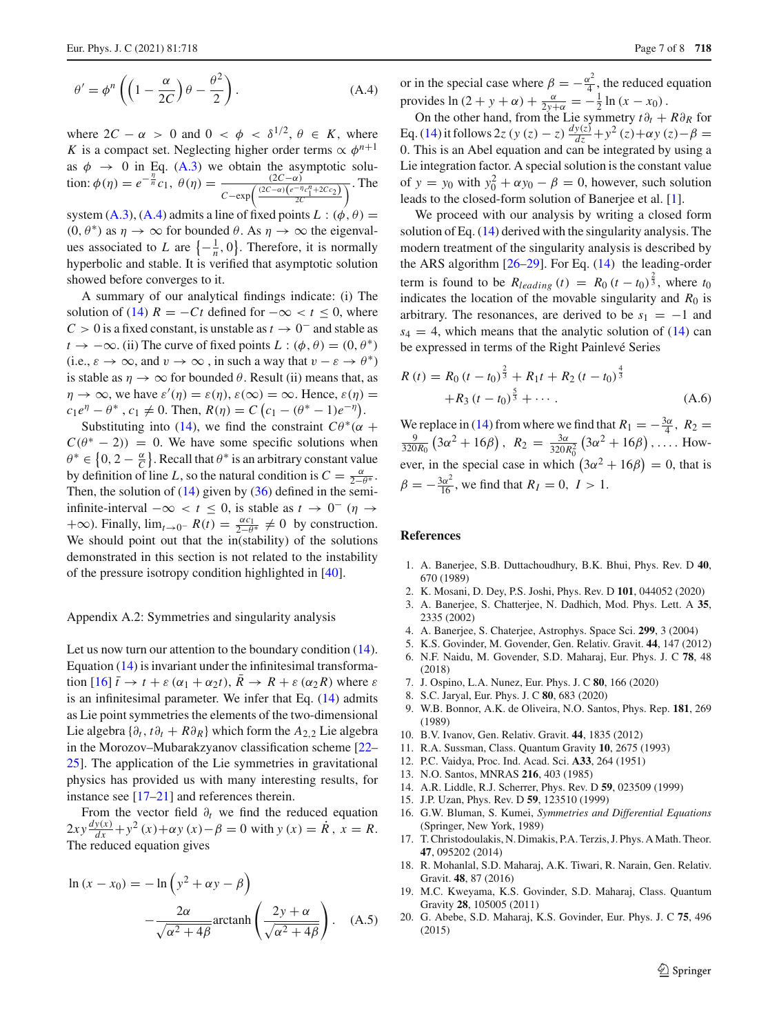$$
\theta' = \phi^n \left( \left( 1 - \frac{\alpha}{2C} \right) \theta - \frac{\theta^2}{2} \right). \tag{A.4}
$$

where  $2C - \alpha > 0$  and  $0 < \phi < \delta^{1/2}, \theta \in K$ , where *K* is a compact set. Neglecting higher order terms  $\propto \phi^{n+1}$ as  $\phi \rightarrow 0$  in Eq. [\(A.3\)](#page-5-0) we obtain the asymptotic solution:  $\phi(\eta) = e^{-\frac{\eta}{n}} c_1, \ \theta(\eta) = \frac{(2C-\alpha)}{(2C-\alpha)(e^{-\eta})}$  $\frac{(2c-a)}{c-\exp(\frac{(2c-a)(e^{-\eta}c_1^{\eta}+2c_2)}{2c})}$ . The

system [\(A.3\)](#page-5-0), [\(A.4\)](#page-5-0) admits a line of fixed points  $L : (\phi, \theta) =$  $(0, \theta^*)$  as  $\eta \to \infty$  for bounded  $\theta$ . As  $\eta \to \infty$  the eigenvalues associated to *L* are  $\left\{-\frac{1}{n}, 0\right\}$ . Therefore, it is normally hyperbolic and stable. It is verified that asymptotic solution showed before converges to it.

A summary of our analytical findings indicate: (i) The solution of [\(14\)](#page-1-5)  $R = −Ct$  defined for  $-\infty < t \leq 0$ , where  $C > 0$  is a fixed constant, is unstable as  $t \to 0^-$  and stable as  $t \to -\infty$ . (ii) The curve of fixed points *L* : ( $\phi$ ,  $\theta$ ) = (0,  $\theta^*$ ) (i.e.,  $\varepsilon \to \infty$ , and  $v \to \infty$ , in such a way that  $v - \varepsilon \to \theta^*$ ) is stable as  $\eta \to \infty$  for bounded  $\theta$ . Result (ii) means that, as  $\eta \to \infty$ , we have  $\varepsilon'(\eta) = \varepsilon(\eta)$ ,  $\varepsilon(\infty) = \infty$ . Hence,  $\varepsilon(\eta) =$  $c_1 e^{\eta} - \theta^*$ ,  $c_1 \neq 0$ . Then,  $R(\eta) = C (c_1 - (\theta^* - 1)e^{-\eta})$ .

Substituting into [\(14\)](#page-1-5), we find the constraint  $C\theta^*(\alpha +$  $C(\theta^* - 2) = 0$ . We have some specific solutions when  $\theta^* \in \left\{0, 2 - \frac{\alpha}{C}\right\}$ . Recall that  $\theta^*$  is an arbitrary constant value by definition of line *L*, so the natural condition is  $C = \frac{\alpha}{2-\theta^*}$ . Then, the solution of  $(14)$  given by  $(36)$  defined in the semiinfinite-interval  $-\infty < t \le 0$ , is stable as  $t \to 0^-$  ( $\eta \to$  $+\infty$ ). Finally,  $\lim_{t\to 0^-} R(t) = \frac{\alpha c_1}{2-\theta^*} \neq 0$  by construction. We should point out that the in(stability) of the solutions demonstrated in this section is not related to the instability of the pressure isotropy condition highlighted in [\[40\]](#page-7-9).

#### Appendix A.2: Symmetries and singularity analysis

Let us now turn our attention to the boundary condition [\(14\)](#page-1-5). Equation [\(14\)](#page-1-5) is invariant under the infinitesimal transformation  $[16]$  $[16]$   $\bar{t} \to t + \varepsilon (\alpha_1 + \alpha_2 t)$ ,  $R \to R + \varepsilon (\alpha_2 R)$  where  $\varepsilon$ is an infinitesimal parameter. We infer that Eq. [\(14\)](#page-1-5) admits as Lie point symmetries the elements of the two-dimensional Lie algebra  $\{\partial_t, t\partial_t + R\partial_R\}$  which form the  $A_{2,2}$  Lie algebra in the Morozov–Mubarakzyanov classification scheme [\[22](#page-7-10)– [25\]](#page-7-11). The application of the Lie symmetries in gravitational physics has provided us with many interesting results, for instance see [\[17](#page-6-14)[–21\]](#page-7-12) and references therein.

From the vector field  $\partial_t$  we find the reduced equation  $2xy \frac{dy(x)}{dx} + y^2(x) + \alpha y(x) - \beta = 0$  with  $y(x) = \dot{R}$ ,  $x = R$ . The reduced equation gives

$$
\ln (x - x_0) = -\ln (y^2 + \alpha y - \beta)
$$

$$
-\frac{2\alpha}{\sqrt{\alpha^2 + 4\beta}} \operatorname{arctanh} \left(\frac{2y + \alpha}{\sqrt{\alpha^2 + 4\beta}}\right). \quad (A.5)
$$

or in the special case where  $\beta = -\frac{\alpha^2}{4}$ , the reduced equation provides  $\ln(2 + y + \alpha) + \frac{\alpha}{2y+\alpha} = -\frac{1}{2}\ln(x - x_0)$ .

On the other hand, from the Lie symmetry  $t\partial_t + R\partial_R$  for Eq. [\(14\)](#page-1-5) it follows 2*z* (*y* (*z*) – *z*)  $\frac{dy(z)}{dz} + y^2(z) + \alpha y(z) - \beta =$ 0. This is an Abel equation and can be integrated by using a Lie integration factor. A special solution is the constant value of  $y = y_0$  with  $y_0^2 + \alpha y_0 - \beta = 0$ , however, such solution leads to the closed-form solution of Banerjee et al. [\[1](#page-6-9)].

We proceed with our analysis by writing a closed form solution of Eq. [\(14\)](#page-1-5) derived with the singularity analysis. The modern treatment of the singularity analysis is described by the ARS algorithm [\[26](#page-7-13)[–29\]](#page-7-14). For Eq. [\(14\)](#page-1-5) the leading-order term is found to be  $R_{leading}(t) = R_0 (t - t_0)^{\frac{2}{3}}$ , where  $t_0$ indicates the location of the movable singularity and  $R_0$  is arbitrary. The resonances, are derived to be  $s_1 = -1$  and  $s_4 = 4$ , which means that the analytic solution of  $(14)$  can be expressed in terms of the Right Painlevé Series

<span id="page-6-10"></span>
$$
R(t) = R_0 (t - t_0)^{\frac{2}{3}} + R_1 t + R_2 (t - t_0)^{\frac{4}{3}}
$$
  
+
$$
R_3 (t - t_0)^{\frac{5}{3}} + \cdots
$$
 (A.6)

We replace in [\(14\)](#page-1-5) from where we find that  $R_1 = -\frac{3\alpha}{4}$ ,  $R_2 = -\frac{9}{4}$ ,  $(3\alpha^2 + 16\beta)$ ,  $R_2 = -\frac{3\alpha}{4}$ ,  $(3\alpha^2 + 16\beta)$ , How- $\frac{9}{320R_0}$  (3 $\alpha^2 + 16\beta$ ),  $R_2 = \frac{3\alpha}{320R_0^2}$  (3 $\alpha^2 + 16\beta$ ), .... However, in the special case in which  $(3\alpha^2 + 16\beta) = 0$ , that is  $\beta = -\frac{3\alpha^2}{16}$ , we find that  $R_I = 0$ ,  $I > 1$ .

# **References**

- <span id="page-6-9"></span>1. A. Banerjee, S.B. Duttachoudhury, B.K. Bhui, Phys. Rev. D **40**, 670 (1989)
- <span id="page-6-0"></span>2. K. Mosani, D. Dey, P.S. Joshi, Phys. Rev. D **101**, 044052 (2020)
- <span id="page-6-1"></span>3. A. Banerjee, S. Chatterjee, N. Dadhich, Mod. Phys. Lett. A **35**, 2335 (2002)
- <span id="page-6-2"></span>4. A. Banerjee, S. Chaterjee, Astrophys. Space Sci. **299**, 3 (2004)
- 5. K.S. Govinder, M. Govender, Gen. Relativ. Gravit. **44**, 147 (2012)
- 6. N.F. Naidu, M. Govender, S.D. Maharaj, Eur. Phys. J. C **78**, 48 (2018)
- 7. J. Ospino, L.A. Nunez, Eur. Phys. J. C **80**, 166 (2020)
- <span id="page-6-3"></span>8. S.C. Jaryal, Eur. Phys. J. C **80**, 683 (2020)
- <span id="page-6-4"></span>9. W.B. Bonnor, A.K. de Oliveira, N.O. Santos, Phys. Rep. **181**, 269 (1989)
- <span id="page-6-5"></span>10. B.V. Ivanov, Gen. Relativ. Gravit. **44**, 1835 (2012)
- <span id="page-6-6"></span>11. R.A. Sussman, Class. Quantum Gravity **10**, 2675 (1993)
- <span id="page-6-7"></span>12. P.C. Vaidya, Proc. Ind. Acad. Sci. **A33**, 264 (1951)
- <span id="page-6-8"></span>13. N.O. Santos, MNRAS **216**, 403 (1985)
- <span id="page-6-11"></span>14. A.R. Liddle, R.J. Scherrer, Phys. Rev. D **59**, 023509 (1999)
- <span id="page-6-12"></span>15. J.P. Uzan, Phys. Rev. D **59**, 123510 (1999)
- <span id="page-6-13"></span>16. G.W. Bluman, S. Kumei, *Symmetries and Differential Equations* (Springer, New York, 1989)
- <span id="page-6-14"></span>17. T. Christodoulakis, N. Dimakis, P.A. Terzis, J. Phys. A Math. Theor. **47**, 095202 (2014)
- 18. R. Mohanlal, S.D. Maharaj, A.K. Tiwari, R. Narain, Gen. Relativ. Gravit. **48**, 87 (2016)
- 19. M.C. Kweyama, K.S. Govinder, S.D. Maharaj, Class. Quantum Gravity **28**, 105005 (2011)
- 20. G. Abebe, S.D. Maharaj, K.S. Govinder, Eur. Phys. J. C **75**, 496 (2015)